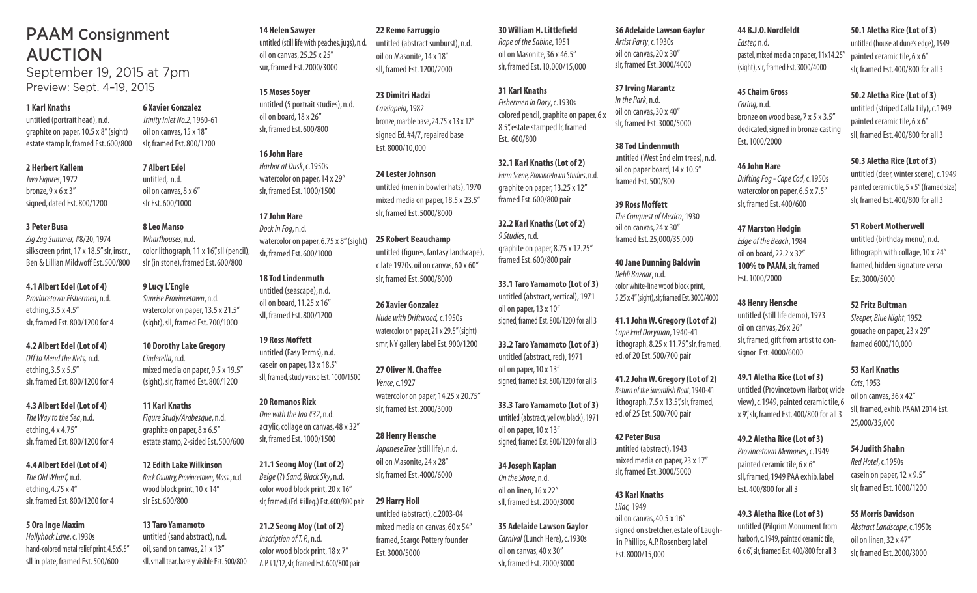# PAAM Consignment AUCTION

September 19, 2015 at 7pm Preview: Sept. 4–19, 2015

#### **1 Karl Knaths**

untitled (portrait head), n.d. graphite on paper, 10.5 x 8" (sight) estate stamp lr, framed Est. 600/800

#### **2 Herbert Kallem**  *Two Figures*, 1972

bronze, 9 x 6 x 3" signed, dated Est. 800/1200

#### **3 Peter Busa**

*Zig Zag Summer,* #8/20, 1974 silkscreen print, 17 x 18.5" slr, inscr., Ben & Lillian Mildwoff Est. 500/800

**4.1 Albert Edel (Lot of 4)**  *Provincetown Fishermen*, n.d. etching, 3.5 x 4.5" slr, framed Est. 800/1200 for 4

**4.2 Albert Edel (Lot of 4)**  *Off to Mend the Nets,* n.d. etching, 3.5 x 5.5" slr, framed Est. 800/1200 for 4

**4.3 Albert Edel (Lot of 4)**  *The Way to the Sea*, n.d. etching, 4 x 4.75" slr, framed Est. 800/1200 for 4

#### **4.4 Albert Edel (Lot of 4)**  *The Old Wharf,* n.d. etching, 4.75 x 4" slr, framed Est. 800/1200 for 4

#### **5 Ora Inge Maxim**

*Hollyhock Lane*, c.1930s hand-colored metal relief print, 4.5x5.5" sll in plate, framed Est. 500/600

# **6 Xavier Gonzalez**

*Trinity Inlet No.2*, 1960-61 oil on canvas, 15 x 18" slr, framed Est. 800/1200

# **7 Albert Edel**

untitled, n.d. oil on canvas, 8 x 6" slr Est. 600/1000

## **8 Leo Manso**

*Wharfhouses*, n.d. color lithograph, 11 x 16", sll (pencil), slr (in stone), framed Est. 600/800 watercolor on paper, 6.75 x 8" (sight) slr, framed Est. 600/1000

#### **9 Lucy L'Engle**

*Sunrise Provincetown*, n.d. watercolor on paper, 13.5 x 21.5" (sight), sll, framed Est. 700/1000 untitled (seascape), n.d. oil on board, 11.25 x 16" sll, framed Est. 800/1200

#### **10 Dorothy Lake Gregory**  *Cinderella*, n.d. mixed media on paper, 9.5 x 19.5" (sight), slr, framed Est. 800/1200

**11 Karl Knaths**  *Figure Study/Arabesque*, n.d. graphite on paper, 8 x 6.5" estate stamp, 2-sided Est. 500/600

#### **12 Edith Lake Wilkinson**  *Back Country, Provincetown, Mass.*, n.d. wood block print, 10 x 14"

slr Est. 600/800

## **13 Taro Yamamoto**

untitled (sand abstract), n.d. oil, sand on canvas, 21 x 13" sll, small tear, barely visible Est. 500/800

#### **22 Remo Farruggio**

**14 Helen Sawyer** 

**15 Moses Soyer** 

**16 John Hare**  *Harbor at Dusk*, c.1950s watercolor on paper, 14 x 29" slr, framed Est. 1000/1500

**17 John Hare**  *Dock in Fog*, n.d.

**18 Tod Lindenmuth** 

**19 Ross Moffett**  untitled (Easy Terms), n.d. casein on paper, 13 x 18.5" sll, framed, study verso Est. 1000/1500

**20 Romanos Rizk**  *One with the Tao #32*, n.d. acrylic, collage on canvas, 48 x 32" slr, framed Est. 1000/1500

**21.1 Seong Moy (Lot of 2)**  *Beige* (?) *Sand, Black Sky*, n.d. color wood block print, 20 x 16" slr, framed, (Ed. # illeg.) Est. 600/800 pair

**21.2 Seong Moy (Lot of 2)**  *Inscription of T. P.*, n.d. color wood block print, 18 x 7" A.P. #1/12, slr, framed Est. 600/800 pair

oil on board, 18 x 26" slr, framed Est. 600/800

oil on canvas, 25.25 x 25" sur, framed Est. 2000/3000

untitled (5 portrait studies), n.d.

untitled (still life with peaches, jugs), n.d. untitled (abstract sunburst), n.d. oil on Masonite, 14 x 18" sll, framed Est. 1200/2000

**23 Dimitri Hadzi** 

*Cassiopeia*, 1982 bronze, marble base, 24.75 x 13 x 12" signed Ed. #4/7, repaired base Est. 8000/10,000

**24 Lester Johnson**  untitled (men in bowler hats), 1970 mixed media on paper, 18.5 x 23.5" slr, framed Est. 5000/8000

**25 Robert Beauchamp**  untitled (figures, fantasy landscape), c.late 1970s, oil on canvas, 60 x 60" slr, framed Est. 5000/8000

**26 Xavier Gonzalez**  *Nude with Driftwood,* c.1950s watercolor on paper, 21 x 29.5" (sight) smr, NY gallery label Est. 900/1200

**27 Oliver N. Chaffee**  *Vence*, c.1927 watercolor on paper, 14.25 x 20.75" slr, framed Est. 2000/3000

**28 Henry Hensche**  *Japanese Tree* (still life), n.d. oil on Masonite, 24 x 28" slr, framed Est. 4000/6000

**29 Harry Holl**  untitled (abstract), c.2003-04 mixed media on canvas, 60 x 54" framed, Scargo Pottery founder Est. 3000/5000

**30 William H. Littlefield**  *Rape of the Sabine*, 1951 oil on Masonite, 36 x 46.5" slr, framed Est. 10,000/15,000

**31 Karl Knaths**  *Fishermen in Dory*, c.1930s colored pencil, graphite on paper, 6 x 8.5", estate stamped lr, framed Est. 600/800

**32.1 Karl Knaths (Lot of 2)**  *Farm Scene, Provincetown Studies*, n.d. graphite on paper, 13.25 x 12" framed Est. 600/800 pair

**32.2 Karl Knaths (Lot of 2)**  *9 Studies*, n.d. graphite on paper, 8.75 x 12.25" framed Est. 600/800 pair

**33.1 Taro Yamamoto (Lot of 3)**  untitled (abstract, vertical), 1971 oil on paper, 13 x 10" signed, framed Est. 800/1200 for all 3

**33.2 Taro Yamamoto (Lot of 3)**  untitled (abstract, red), 1971 oil on paper, 10 x 13"

**33.3 Taro Yamamoto (Lot of 3)**  untitled (abstract, yellow, black), 1971 oil on paper, 10 x 13" signed, framed Est. 800/1200 for all 3

**34 Joseph Kaplan**  *On the Shore*, n.d.

oil on linen, 16 x 22" sll, framed Est. 2000/3000

**35 Adelaide Lawson Gaylor**  *Carnival* (Lunch Here), c.1930s oil on canvas, 40 x 30" slr, framed Est. 2000/3000

# **36 Adelaide Lawson Gaylor**

*Artist Party*, c.1930s oil on canvas, 20 x 30" slr, framed Est. 3000/4000

**37 Irving Marantz**  *In the Park*, n.d. oil on canvas, 30 x 40" slr, framed Est. 3000/5000

**38 Tod Lindenmuth** 

untitled (West End elm trees), n.d. oil on paper board, 14 x 10.5" framed Est. 500/800

#### **39 Ross Moffett**

*The Conquest of Mexico*, 1930 oil on canvas, 24 x 30" framed Est. 25,000/35,000

**40 Jane Dunning Baldwin** 

*Dehli Bazaar*, n.d. color white-line wood block print, 5.25 x 4" (sight), slr, framed Est. 3000/4000

**41.1 John W. Gregory (Lot of 2)**  *Cape End Doryman*, 1940-41 lithograph, 8.25 x 11.75", slr, framed, ed. of 20 Est. 500/700 pair

#### **41.2 John W. Gregory (Lot of 2)**

*Return of the Swordfish Boat*, 1940-41 lithograph, 7.5 x 13.5", slr. framed, ed. of 25 Est. 500/700 pair

#### **42 Peter Busa**

untitled (abstract), 1943 mixed media on paper, 23 x 17" slr, framed Est. 3000/5000

oil on canvas, 40.5 x 16" signed on stretcher, estate of Laughlin Phillips, A.P. Rosenberg label Est. 8000/15,000

### **44 B.J.O. Nordfeldt**

**45 Chaim Gross** 

**47 Marston Hodgin**  *Edge of the Beach*, 1984 oil on board, 22.2 x 32" **100% to PAAM**, slr, framed

Est. 1000/2000

**48 Henry Hensche** 

*Easter,* n.d. pastel, mixed media on paper, 11x14.25" (sight), slr, framed Est. 3000/4000

**50.1 Aletha Rice (Lot of 3)**  untitled (house at dune's edge), 1949 painted ceramic tile, 6 x 6"

slr, framed Est. 400/800 for all 3

# **50.2 Aletha Rice (Lot of 3)**

*Caring,* n.d. bronze on wood base, 7 x 5 x 3.5" dedicated, signed in bronze casting Est. 1000/2000 untitled (striped Calla Lily), c.1949 painted ceramic tile, 6 x 6" sll, framed Est. 400/800 for all 3

#### **50.3 Aletha Rice (Lot of 3)**

**46 John Hare**  *Drifting Fog - Cape Cod*, c.1950s watercolor on paper, 6.5 x 7.5" slr, framed Est. 400/600 untitled (deer, winter scene), c.1949 painted ceramic tile, 5 x 5" (framed size) slr, framed Est. 400/800 for all 3

#### **51 Robert Motherwell**

untitled (birthday menu), n.d. lithograph with collage, 10 x 24" framed, hidden signature verso Est. 3000/5000

#### **52 Fritz Bultman**

untitled (still life demo), 1973 oil on canvas, 26 x 26" slr, framed, gift from artist to consignor Est. 4000/6000 *Sleeper, Blue Night*, 1952 gouache on paper, 23 x 29" framed 6000/10,000

#### **53 Karl Knaths**

**49.1 Aletha Rice (Lot of 3)**  untitled (Provincetown Harbor, wide view), c.1949, painted ceramic tile, 6 x 9", slr, framed Est. 400/800 for all 3 *Cats*, 1953 oil on canvas, 36 x 42" sll, framed, exhib. PAAM 2014 Est. 25,000/35,000

#### **54 Judith Shahn**

*Provincetown Memories*, c.1949 painted ceramic tile, 6 x 6" sll, framed, 1949 PAA exhib. label Est. 400/800 for all 3 *Red Hotel*, c.1950s casein on paper, 12 x 9.5" slr, framed Est. 1000/1200

**49.2 Aletha Rice (Lot of 3)** 

**49.3 Aletha Rice (Lot of 3)**  untitled (Pilgrim Monument from harbor), c.1949, painted ceramic tile, 6 x 6", slr, framed Est. 400/800 for all 3

#### **55 Morris Davidson**

*Abstract Landscape*, c.1950s oil on linen, 32 x 47" slr, framed Est. 2000/3000

signed, framed Est. 800/1200 for all 3

**43 Karl Knaths** 

*Lilac,* 1949